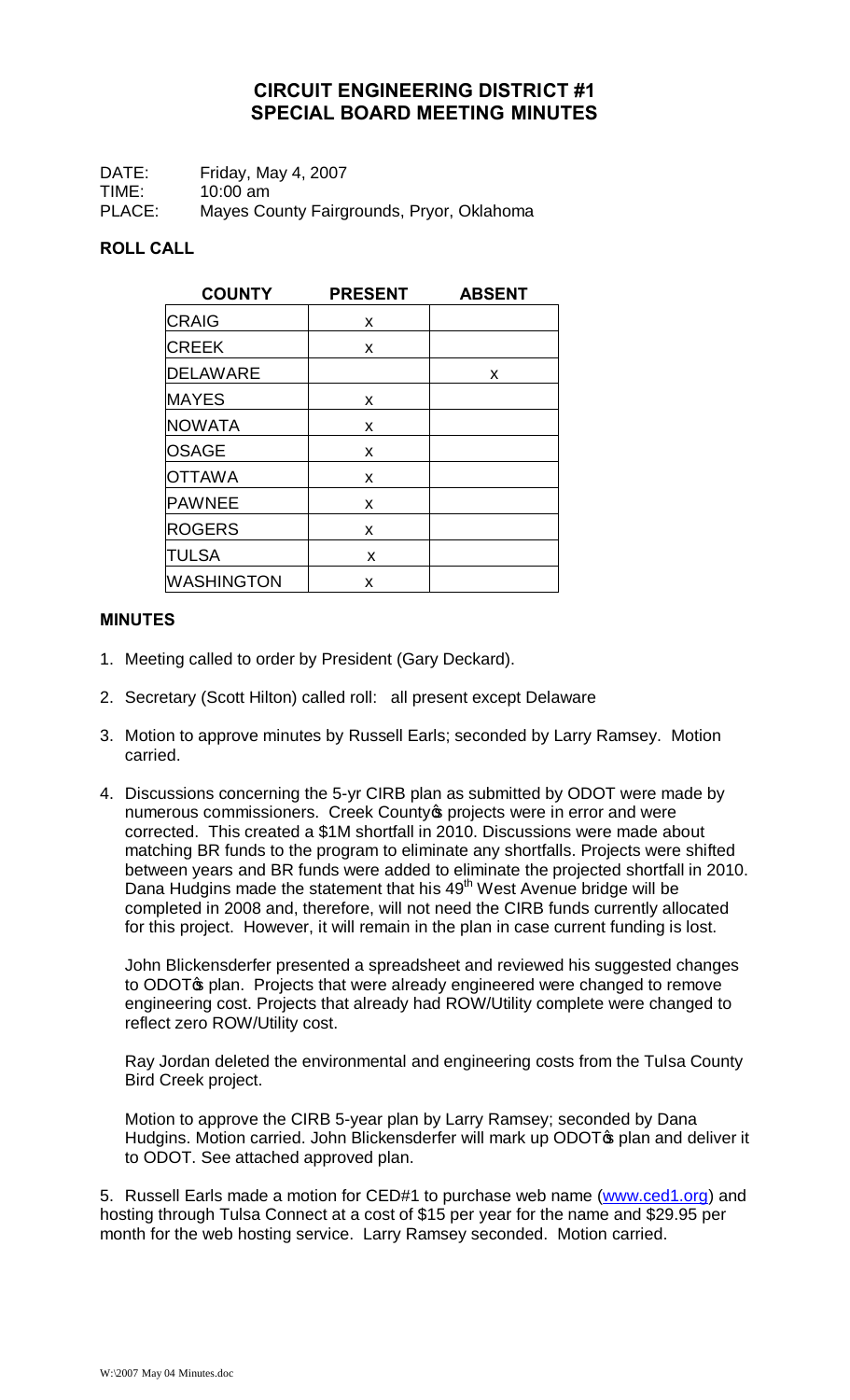## **CIRCUIT ENGINEERING DISTRICT #1 SPECIAL BOARD MEETING MINUTES**

DATE: Friday, May 4, 2007 TIME: 10:00 am PLACE: Mayes County Fairgrounds, Pryor, Oklahoma

## **ROLL CALL**

| <b>COUNTY</b>     | <b>PRESENT</b> | <b>ABSENT</b> |
|-------------------|----------------|---------------|
| <b>CRAIG</b>      | X              |               |
| <b>CREEK</b>      | X              |               |
| <b>DELAWARE</b>   |                | X             |
| <b>MAYES</b>      | X              |               |
| <b>NOWATA</b>     | x              |               |
| <b>OSAGE</b>      | x              |               |
| <b>OTTAWA</b>     | x              |               |
| PAWNEE            | x              |               |
| <b>ROGERS</b>     | X              |               |
| <b>TULSA</b>      | X              |               |
| <b>WASHINGTON</b> | X              |               |

## **MINUTES**

- 1. Meeting called to order by President (Gary Deckard).
- 2. Secretary (Scott Hilton) called roll: all present except Delaware
- 3. Motion to approve minutes by Russell Earls; seconded by Larry Ramsey. Motion carried.
- 4. Discussions concerning the 5-yr CIRB plan as submitted by ODOT were made by numerous commissioners. Creek County oprojects were in error and were corrected. This created a \$1M shortfall in 2010. Discussions were made about matching BR funds to the program to eliminate any shortfalls. Projects were shifted between years and BR funds were added to eliminate the projected shortfall in 2010. Dana Hudgins made the statement that his  $49<sup>th</sup>$  West Avenue bridge will be completed in 2008 and, therefore, will not need the CIRB funds currently allocated for this project. However, it will remain in the plan in case current funding is lost.

John Blickensderfer presented a spreadsheet and reviewed his suggested changes to ODOT<sub>®</sub> plan. Projects that were already engineered were changed to remove engineering cost. Projects that already had ROW/Utility complete were changed to reflect zero ROW/Utility cost.

Ray Jordan deleted the environmental and engineering costs from the Tulsa County Bird Creek project.

Motion to approve the CIRB 5-year plan by Larry Ramsey; seconded by Dana Hudgins. Motion carried. John Blickensderfer will mark up ODOT<sub>®</sub> plan and deliver it to ODOT. See attached approved plan.

5. Russell Earls made a motion for CED#1 to purchase web name (www.ced1.org) and hosting through Tulsa Connect at a cost of \$15 per year for the name and \$29.95 per month for the web hosting service. Larry Ramsey seconded. Motion carried.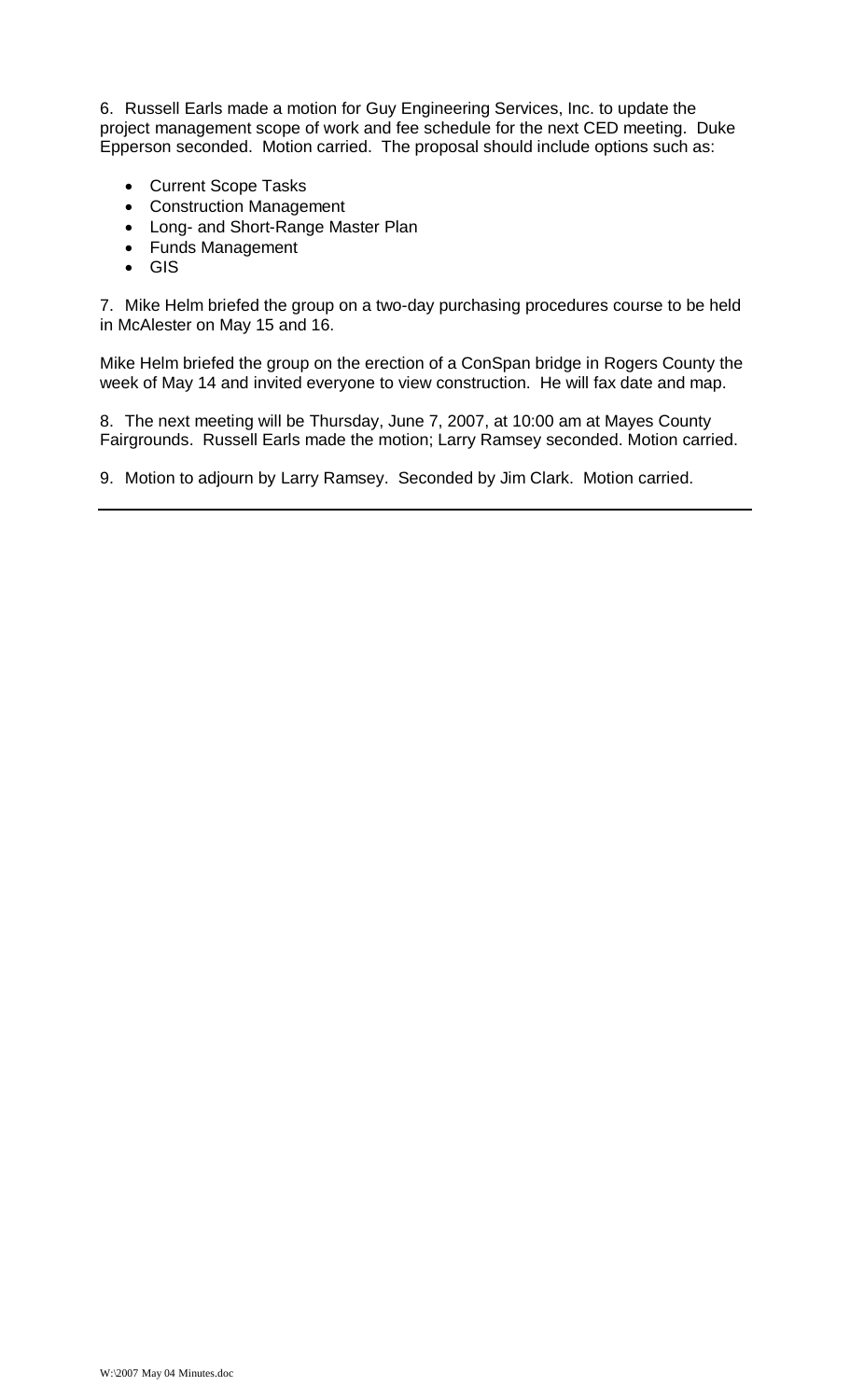6. Russell Earls made a motion for Guy Engineering Services, Inc. to update the project management scope of work and fee schedule for the next CED meeting. Duke Epperson seconded. Motion carried. The proposal should include options such as:

- · Current Scope Tasks
- · Construction Management
- · Long- and Short-Range Master Plan
- · Funds Management
- · GIS

7. Mike Helm briefed the group on a two-day purchasing procedures course to be held in McAlester on May 15 and 16.

Mike Helm briefed the group on the erection of a ConSpan bridge in Rogers County the week of May 14 and invited everyone to view construction. He will fax date and map.

8. The next meeting will be Thursday, June 7, 2007, at 10:00 am at Mayes County Fairgrounds. Russell Earls made the motion; Larry Ramsey seconded. Motion carried.

9. Motion to adjourn by Larry Ramsey. Seconded by Jim Clark. Motion carried.